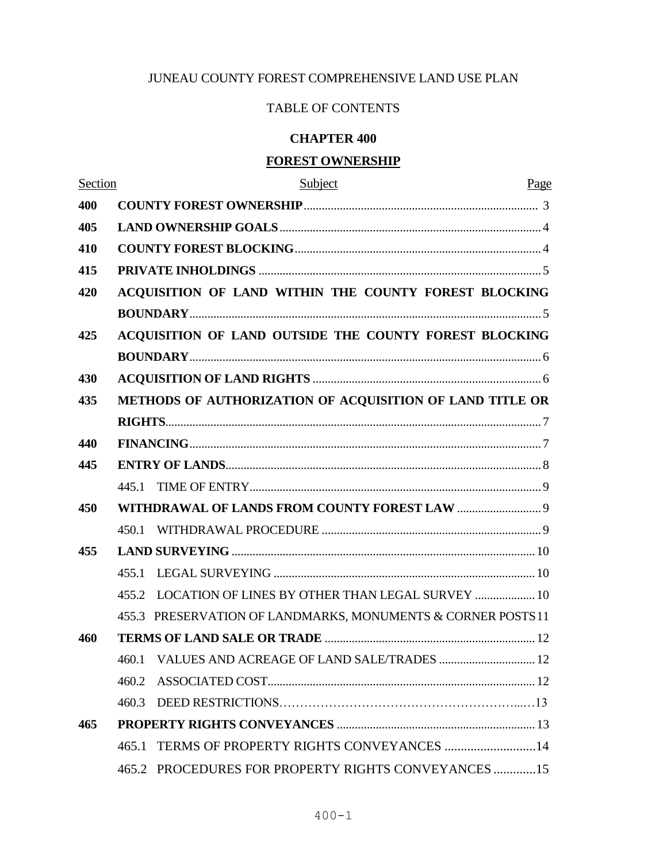# JUNEAU COUNTY FOREST COMPREHENSIVE LAND USE PLAN

# TABLE OF CONTENTS

# **CHAPTER 400**

# **FOREST OWNERSHIP**

| Section | Subject                                                      | Page |  |  |  |  |
|---------|--------------------------------------------------------------|------|--|--|--|--|
| 400     |                                                              |      |  |  |  |  |
| 405     |                                                              |      |  |  |  |  |
| 410     |                                                              |      |  |  |  |  |
| 415     |                                                              |      |  |  |  |  |
| 420     | ACQUISITION OF LAND WITHIN THE COUNTY FOREST BLOCKING        |      |  |  |  |  |
|         |                                                              |      |  |  |  |  |
| 425     | ACQUISITION OF LAND OUTSIDE THE COUNTY FOREST BLOCKING       |      |  |  |  |  |
|         |                                                              |      |  |  |  |  |
| 430     |                                                              |      |  |  |  |  |
| 435     | METHODS OF AUTHORIZATION OF ACQUISITION OF LAND TITLE OR     |      |  |  |  |  |
|         |                                                              |      |  |  |  |  |
| 440     |                                                              |      |  |  |  |  |
| 445     |                                                              |      |  |  |  |  |
|         | 445.1                                                        |      |  |  |  |  |
| 450     |                                                              |      |  |  |  |  |
|         | 450.1                                                        |      |  |  |  |  |
| 455     |                                                              |      |  |  |  |  |
|         | 455.1                                                        |      |  |  |  |  |
|         | LOCATION OF LINES BY OTHER THAN LEGAL SURVEY  10<br>455.2    |      |  |  |  |  |
|         | 455.3 PRESERVATION OF LANDMARKS, MONUMENTS & CORNER POSTS 11 |      |  |  |  |  |
| 460     |                                                              |      |  |  |  |  |
|         | 460.1 VALUES AND ACREAGE OF LAND SALE/TRADES  12             |      |  |  |  |  |
|         | 460.2                                                        |      |  |  |  |  |
|         | 460.3                                                        |      |  |  |  |  |
| 465     |                                                              |      |  |  |  |  |
|         | 465.1 TERMS OF PROPERTY RIGHTS CONVEYANCES 14                |      |  |  |  |  |
|         | 465.2 PROCEDURES FOR PROPERTY RIGHTS CONVEYANCES 15          |      |  |  |  |  |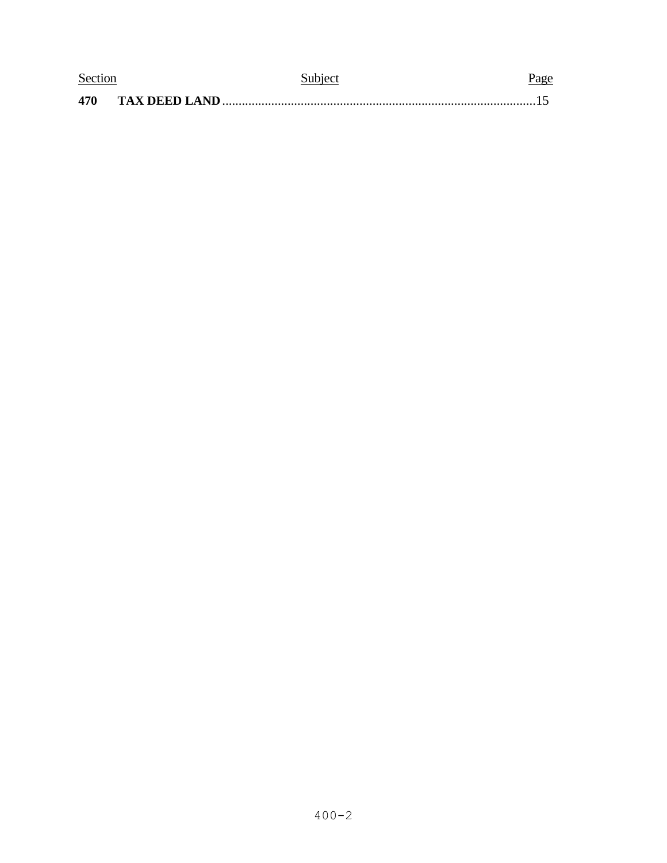| Section |               | Subject | Page |  |
|---------|---------------|---------|------|--|
| 470     | TAX DEED LAND |         |      |  |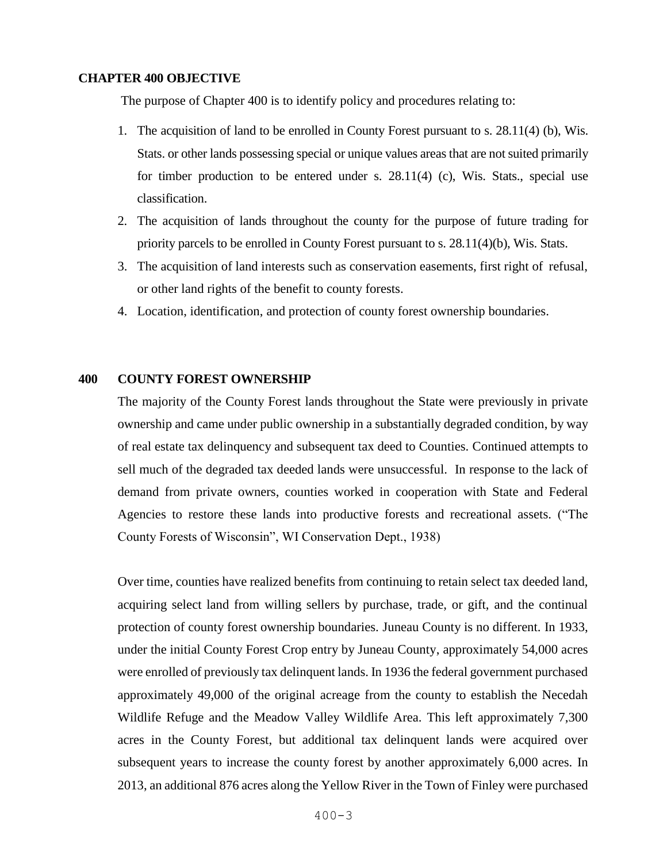#### **CHAPTER 400 OBJECTIVE**

The purpose of Chapter 400 is to identify policy and procedures relating to:

- 1. The acquisition of land to be enrolled in County Forest pursuant to s. 28.11(4) (b), Wis. Stats. or other lands possessing special or unique values areas that are not suited primarily for timber production to be entered under s. 28.11(4) (c), Wis. Stats., special use classification.
- 2. The acquisition of lands throughout the county for the purpose of future trading for priority parcels to be enrolled in County Forest pursuant to s. 28.11(4)(b), Wis. Stats.
- 3. The acquisition of land interests such as conservation easements, first right of refusal, or other land rights of the benefit to county forests.
- 4. Location, identification, and protection of county forest ownership boundaries.

#### **400 COUNTY FOREST OWNERSHIP**

The majority of the County Forest lands throughout the State were previously in private ownership and came under public ownership in a substantially degraded condition, by way of real estate tax delinquency and subsequent tax deed to Counties. Continued attempts to sell much of the degraded tax deeded lands were unsuccessful. In response to the lack of demand from private owners, counties worked in cooperation with State and Federal Agencies to restore these lands into productive forests and recreational assets. ("The County Forests of Wisconsin", WI Conservation Dept., 1938)

Over time, counties have realized benefits from continuing to retain select tax deeded land, acquiring select land from willing sellers by purchase, trade, or gift, and the continual protection of county forest ownership boundaries. Juneau County is no different. In 1933, under the initial County Forest Crop entry by Juneau County, approximately 54,000 acres were enrolled of previously tax delinquent lands. In 1936 the federal government purchased approximately 49,000 of the original acreage from the county to establish the Necedah Wildlife Refuge and the Meadow Valley Wildlife Area. This left approximately 7,300 acres in the County Forest, but additional tax delinquent lands were acquired over subsequent years to increase the county forest by another approximately 6,000 acres. In 2013, an additional 876 acres along the Yellow River in the Town of Finley were purchased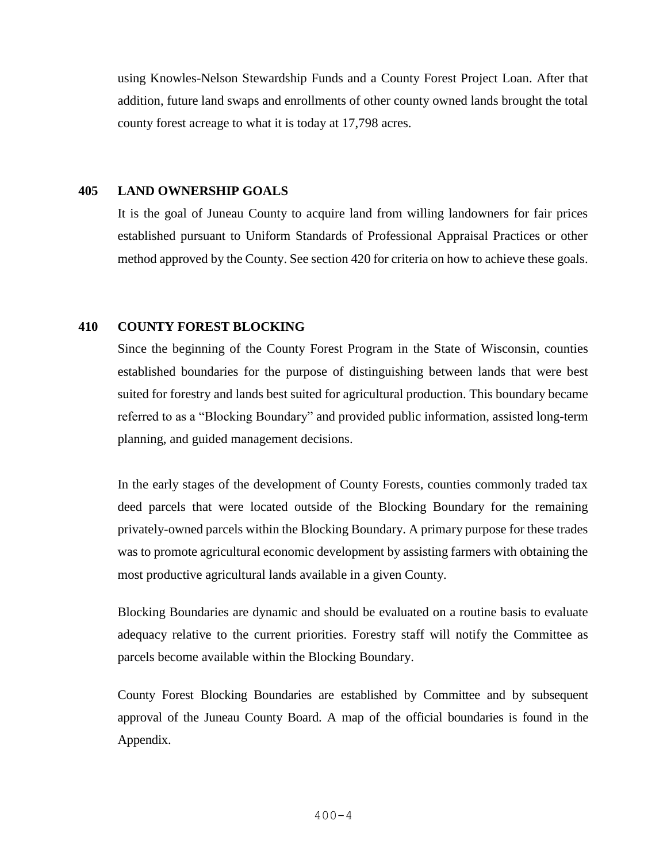using Knowles-Nelson Stewardship Funds and a County Forest Project Loan. After that addition, future land swaps and enrollments of other county owned lands brought the total county forest acreage to what it is today at 17,798 acres.

#### **405 LAND OWNERSHIP GOALS**

It is the goal of Juneau County to acquire land from willing landowners for fair prices established pursuant to Uniform Standards of Professional Appraisal Practices or other method approved by the County. See section 420 for criteria on how to achieve these goals.

#### **410 COUNTY FOREST BLOCKING**

Since the beginning of the County Forest Program in the State of Wisconsin, counties established boundaries for the purpose of distinguishing between lands that were best suited for forestry and lands best suited for agricultural production. This boundary became referred to as a "Blocking Boundary" and provided public information, assisted long-term planning, and guided management decisions.

In the early stages of the development of County Forests, counties commonly traded tax deed parcels that were located outside of the Blocking Boundary for the remaining privately-owned parcels within the Blocking Boundary. A primary purpose for these trades was to promote agricultural economic development by assisting farmers with obtaining the most productive agricultural lands available in a given County.

Blocking Boundaries are dynamic and should be evaluated on a routine basis to evaluate adequacy relative to the current priorities. Forestry staff will notify the Committee as parcels become available within the Blocking Boundary.

County Forest Blocking Boundaries are established by Committee and by subsequent approval of the Juneau County Board. A map of the official boundaries is found in the Appendix.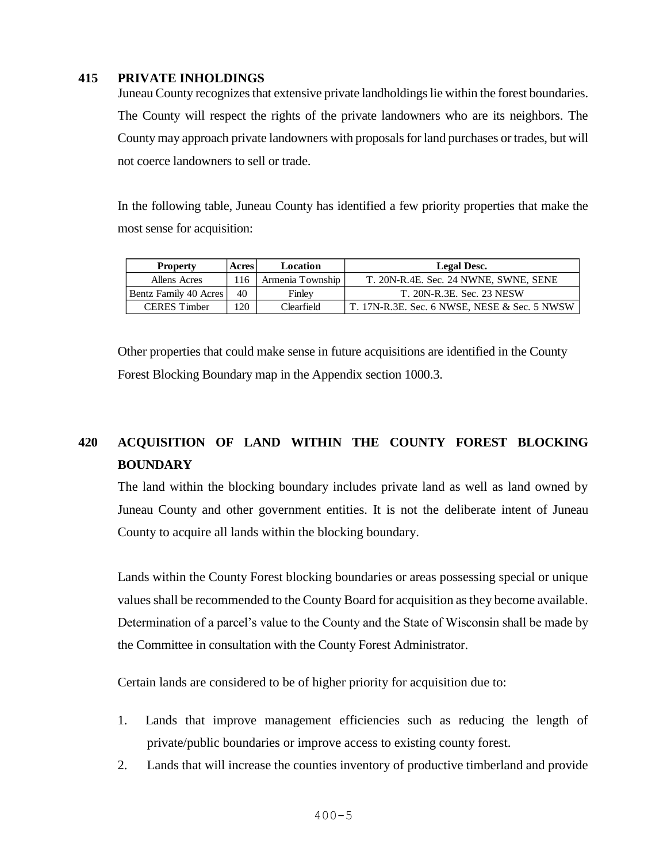## **415 PRIVATE INHOLDINGS**

Juneau County recognizes that extensive private landholdings lie within the forest boundaries. The County will respect the rights of the private landowners who are its neighbors. The County may approach private landowners with proposals for land purchases or trades, but will not coerce landowners to sell or trade.

In the following table, Juneau County has identified a few priority properties that make the most sense for acquisition:

| <b>Property</b>       | <b>Acres</b> | Location         | <b>Legal Desc.</b>                                  |
|-----------------------|--------------|------------------|-----------------------------------------------------|
| Allens Acres          | 116          | Armenia Township | T. 20N-R.4E. Sec. 24 NWNE, SWNE, SENE               |
| Bentz Family 40 Acres | 40           | Finley           | T. 20N-R.3E. Sec. 23 NESW                           |
| <b>CERES</b> Timber   | 120          | Clearfield       | $\mid$ T. 17N-R.3E. Sec. 6 NWSE, NESE & Sec. 5 NWSW |

Other properties that could make sense in future acquisitions are identified in the County Forest Blocking Boundary map in the Appendix section 1000.3.

# **420 ACQUISITION OF LAND WITHIN THE COUNTY FOREST BLOCKING BOUNDARY**

The land within the blocking boundary includes private land as well as land owned by Juneau County and other government entities. It is not the deliberate intent of Juneau County to acquire all lands within the blocking boundary.

Lands within the County Forest blocking boundaries or areas possessing special or unique values shall be recommended to the County Board for acquisition as they become available. Determination of a parcel's value to the County and the State of Wisconsin shall be made by the Committee in consultation with the County Forest Administrator.

Certain lands are considered to be of higher priority for acquisition due to:

- 1. Lands that improve management efficiencies such as reducing the length of private/public boundaries or improve access to existing county forest.
- 2. Lands that will increase the counties inventory of productive timberland and provide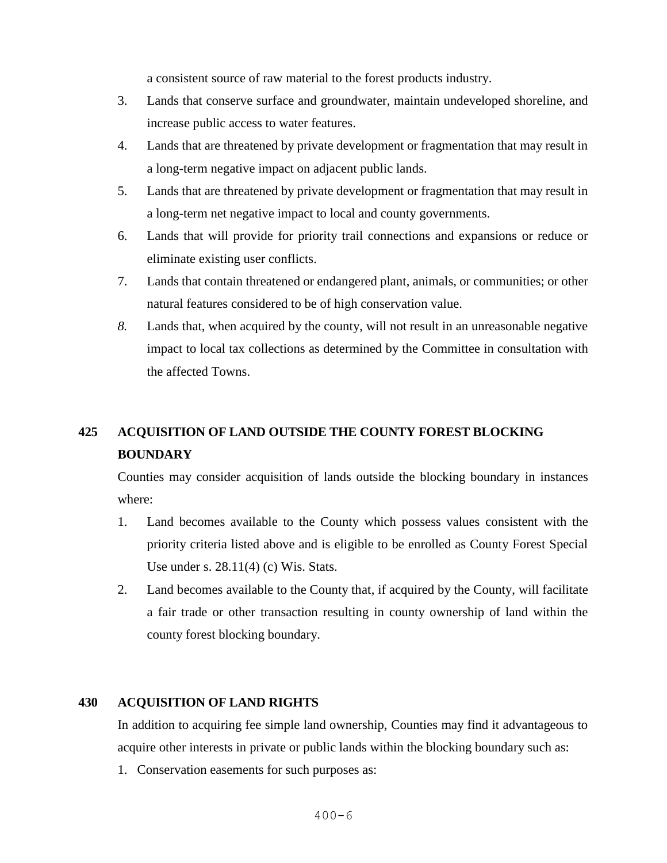a consistent source of raw material to the forest products industry.

- 3. Lands that conserve surface and groundwater, maintain undeveloped shoreline, and increase public access to water features.
- 4. Lands that are threatened by private development or fragmentation that may result in a long-term negative impact on adjacent public lands.
- 5. Lands that are threatened by private development or fragmentation that may result in a long-term net negative impact to local and county governments.
- 6. Lands that will provide for priority trail connections and expansions or reduce or eliminate existing user conflicts.
- 7. Lands that contain threatened or endangered plant, animals, or communities; or other natural features considered to be of high conservation value.
- *8.* Lands that, when acquired by the county, will not result in an unreasonable negative impact to local tax collections as determined by the Committee in consultation with the affected Towns.

# **425 ACQUISITION OF LAND OUTSIDE THE COUNTY FOREST BLOCKING BOUNDARY**

Counties may consider acquisition of lands outside the blocking boundary in instances where:

- 1. Land becomes available to the County which possess values consistent with the priority criteria listed above and is eligible to be enrolled as County Forest Special Use under s. 28.11(4) (c) Wis. Stats.
- 2. Land becomes available to the County that, if acquired by the County, will facilitate a fair trade or other transaction resulting in county ownership of land within the county forest blocking boundary.

### **430 ACQUISITION OF LAND RIGHTS**

In addition to acquiring fee simple land ownership, Counties may find it advantageous to acquire other interests in private or public lands within the blocking boundary such as:

1. Conservation easements for such purposes as: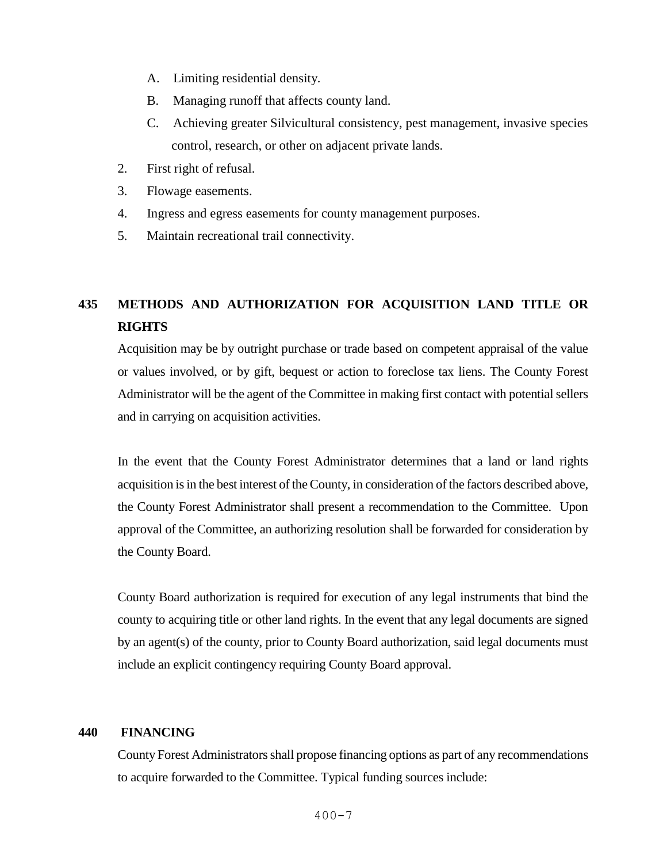- A. Limiting residential density.
- B. Managing runoff that affects county land.
- C. Achieving greater Silvicultural consistency, pest management, invasive species control, research, or other on adjacent private lands.
- 2. First right of refusal.
- 3. Flowage easements.
- 4. Ingress and egress easements for county management purposes.
- 5. Maintain recreational trail connectivity.

# **435 METHODS AND AUTHORIZATION FOR ACQUISITION LAND TITLE OR RIGHTS**

Acquisition may be by outright purchase or trade based on competent appraisal of the value or values involved, or by gift, bequest or action to foreclose tax liens. The County Forest Administrator will be the agent of the Committee in making first contact with potential sellers and in carrying on acquisition activities.

In the event that the County Forest Administrator determines that a land or land rights acquisition is in the best interest of the County, in consideration of the factors described above, the County Forest Administrator shall present a recommendation to the Committee. Upon approval of the Committee, an authorizing resolution shall be forwarded for consideration by the County Board.

County Board authorization is required for execution of any legal instruments that bind the county to acquiring title or other land rights. In the event that any legal documents are signed by an agent(s) of the county, prior to County Board authorization, said legal documents must include an explicit contingency requiring County Board approval.

# **440 FINANCING**

County Forest Administrators shall propose financing options as part of any recommendations to acquire forwarded to the Committee. Typical funding sources include: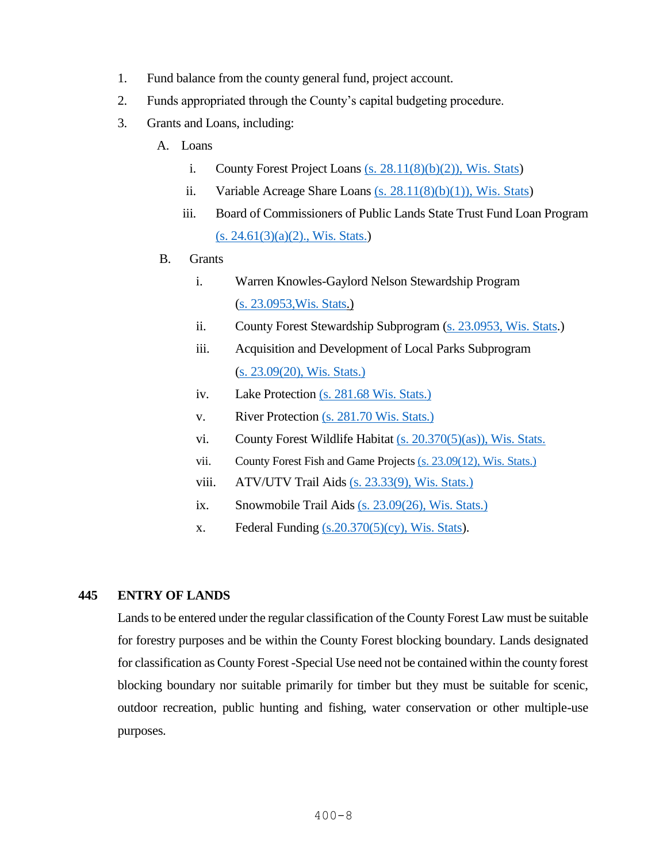- 1. Fund balance from the county general fund, project account.
- 2. Funds appropriated through the County's capital budgeting procedure.
- 3. Grants and Loans, including:
	- A. Loans
		- i. County Forest Project Loans  $(s. 28.11(8)(b)(2))$ , Wis. Stats)
		- ii. Variable Acreage Share Loans  $(s. 28.11(8)(b)(1))$ , Wis. Stats)
		- iii. Board of Commissioners of Public Lands State Trust Fund Loan Program  $(s. 24.61(3)(a)(2)$ ., Wis. Stats.)
	- B. Grants
		- i. Warren Knowles-Gaylord Nelson Stewardship Program [\(s. 23.0953,Wis. Stats.](http://docs.legis.wisconsin.gov/statutes/statutes/23/0953))
		- ii. County Forest Stewardship Subprogram [\(s. 23.0953, Wis. Stats.](http://docs.legis.wisconsin.gov/statutes/statutes/23/0953))
		- iii. Acquisition and Development of Local Parks Subprogram [\(s. 23.09\(20\), Wis. Stats.\)](http://docs.legis.wisconsin.gov/statutes/statutes/23/09/20)
		- iv. Lake Protection [\(s. 281.68 Wis. Stats.\)](http://docs.legis.wisconsin.gov/statutes/statutes/281/V/68)
		- v. River Protection [\(s. 281.70 Wis. Stats.\)](http://docs.legis.wisconsin.gov/statutes/statutes/281/V/70)
		- vi. County Forest Wildlife Habitat [\(s. 20.370\(5\)\(as\)\), Wis. Stats.](http://docs.legis.wisconsin.gov/statutes/statutes/20/IV/370/5/as)
		- vii. County Forest Fish and Game Projects [\(s. 23.09\(12\), Wis. Stats.\)](http://docs.legis.wisconsin.gov/statutes/statutes/23/09/12)
		- viii. ATV/UTV Trail Aids [\(s. 23.33\(9\), Wis. Stats.\)](http://docs.legis.wisconsin.gov/statutes/statutes/23/33/9)
		- ix. Snowmobile Trail Aids [\(s. 23.09\(26\), Wis. Stats.\)](http://docs.legis.wisconsin.gov/statutes/statutes/23/09/26)
		- x. Federal Funding  $(s.20.370(5)(cy))$ , Wis. Stats).

## **445 ENTRY OF LANDS**

Lands to be entered under the regular classification of the County Forest Law must be suitable for forestry purposes and be within the County Forest blocking boundary. Lands designated for classification as County Forest -Special Use need not be contained within the county forest blocking boundary nor suitable primarily for timber but they must be suitable for scenic, outdoor recreation, public hunting and fishing, water conservation or other multiple-use purposes.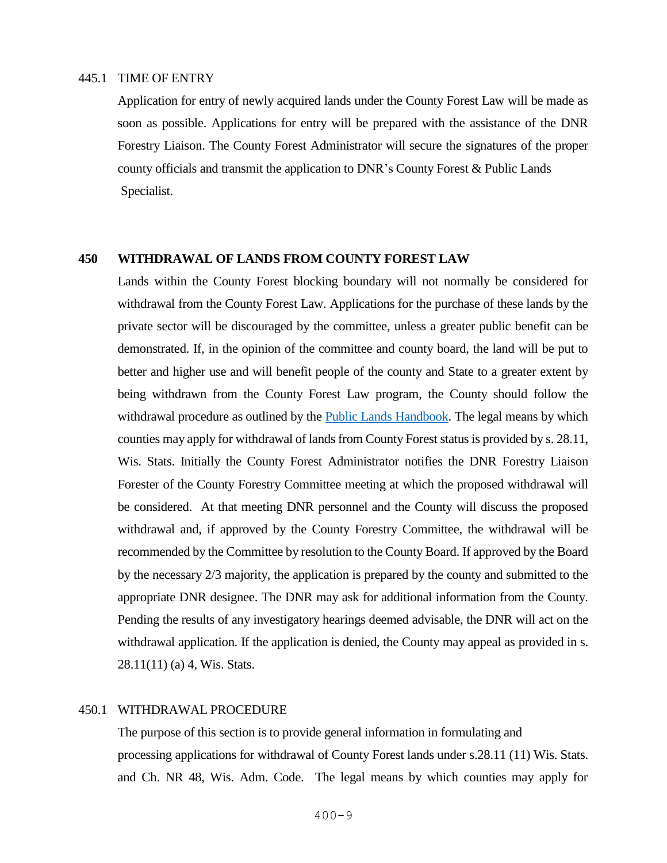#### 445.1 TIME OF ENTRY

Application for entry of newly acquired lands under the County Forest Law will be made as soon as possible. Applications for entry will be prepared with the assistance of the DNR Forestry Liaison. The County Forest Administrator will secure the signatures of the proper county officials and transmit the application to DNR's County Forest & Public Lands Specialist.

#### **450 WITHDRAWAL OF LANDS FROM COUNTY FOREST LAW**

Lands within the County Forest blocking boundary will not normally be considered for withdrawal from the County Forest Law. Applications for the purchase of these lands by the private sector will be discouraged by the committee, unless a greater public benefit can be demonstrated. If, in the opinion of the committee and county board, the land will be put to better and higher use and will benefit people of the county and State to a greater extent by being withdrawn from the County Forest Law program, the County should follow the withdrawal procedure as outlined by the <u>Public Lands Handbook</u>. The legal means by which counties may apply for withdrawal of lands from County Forest statusis provided by s. 28.11, Wis. Stats. Initially the County Forest Administrator notifies the DNR Forestry Liaison Forester of the County Forestry Committee meeting at which the proposed withdrawal will be considered. At that meeting DNR personnel and the County will discuss the proposed withdrawal and, if approved by the County Forestry Committee, the withdrawal will be recommended by the Committee by resolution to the County Board. If approved by the Board by the necessary 2/3 majority, the application is prepared by the county and submitted to the appropriate DNR designee. The DNR may ask for additional information from the County. Pending the results of any investigatory hearings deemed advisable, the DNR will act on the withdrawal application. If the application is denied, the County may appeal as provided in s. 28.11(11) (a) 4, Wis. Stats.

#### 450.1 WITHDRAWAL PROCEDURE

The purpose of this section is to provide general information in formulating and processing applications for withdrawal of County Forest lands under s.28.11 (11) Wis. Stats. and Ch. NR 48, Wis. Adm. Code. The legal means by which counties may apply for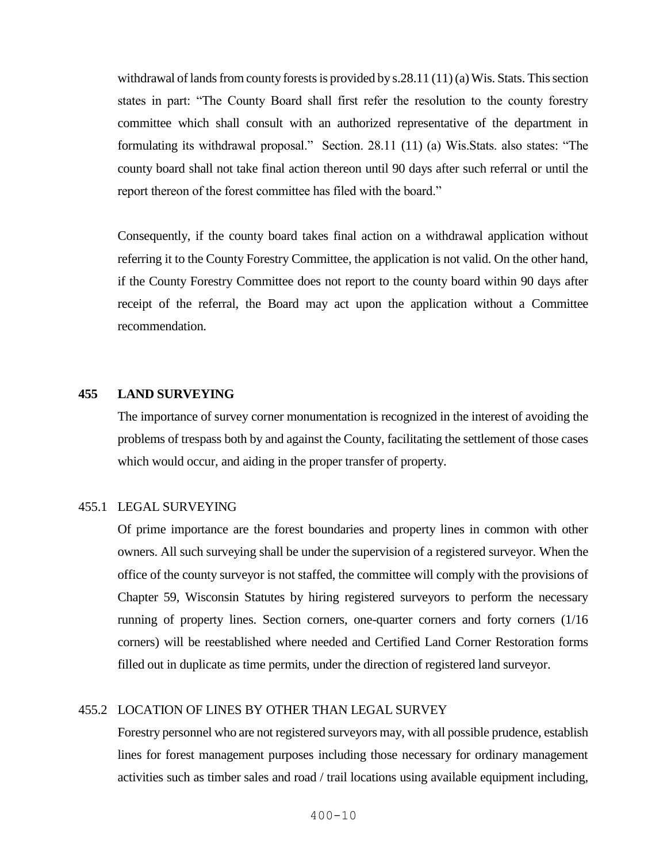withdrawal of lands from county forests is provided by s.28.11 (11) (a) Wis. Stats. This section states in part: "The County Board shall first refer the resolution to the county forestry committee which shall consult with an authorized representative of the department in formulating its withdrawal proposal." Section. 28.11 (11) (a) Wis.Stats. also states: "The county board shall not take final action thereon until 90 days after such referral or until the report thereon of the forest committee has filed with the board."

Consequently, if the county board takes final action on a withdrawal application without referring it to the County Forestry Committee, the application is not valid. On the other hand, if the County Forestry Committee does not report to the county board within 90 days after receipt of the referral, the Board may act upon the application without a Committee recommendation.

#### **455 LAND SURVEYING**

The importance of survey corner monumentation is recognized in the interest of avoiding the problems of trespass both by and against the County, facilitating the settlement of those cases which would occur, and aiding in the proper transfer of property.

#### 455.1 LEGAL SURVEYING

Of prime importance are the forest boundaries and property lines in common with other owners. All such surveying shall be under the supervision of a registered surveyor. When the office of the county surveyor is not staffed, the committee will comply with the provisions of Chapter 59, Wisconsin Statutes by hiring registered surveyors to perform the necessary running of property lines. Section corners, one-quarter corners and forty corners (1/16 corners) will be reestablished where needed and Certified Land Corner Restoration forms filled out in duplicate as time permits, under the direction of registered land surveyor.

#### 455.2 LOCATION OF LINES BY OTHER THAN LEGAL SURVEY

Forestry personnel who are not registered surveyors may, with all possible prudence, establish lines for forest management purposes including those necessary for ordinary management activities such as timber sales and road / trail locations using available equipment including,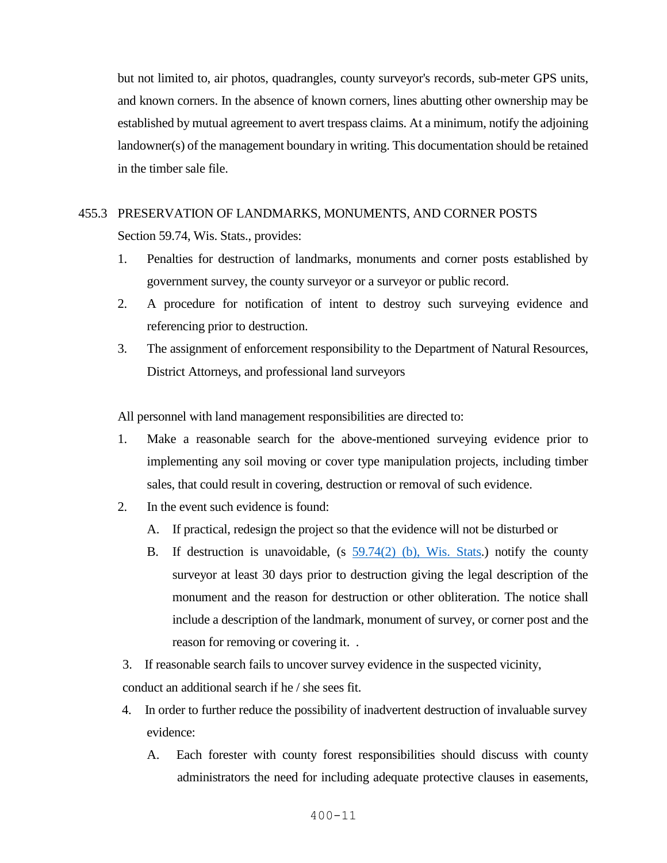but not limited to, air photos, quadrangles, county surveyor's records, sub-meter GPS units, and known corners. In the absence of known corners, lines abutting other ownership may be established by mutual agreement to avert trespass claims. At a minimum, notify the adjoining landowner(s) of the management boundary in writing. This documentation should be retained in the timber sale file.

# 455.3 PRESERVATION OF LANDMARKS, MONUMENTS, AND CORNER POSTS Section 59.74, Wis. Stats., provides:

- 1. Penalties for destruction of landmarks, monuments and corner posts established by government survey, the county surveyor or a surveyor or public record.
- 2. A procedure for notification of intent to destroy such surveying evidence and referencing prior to destruction.
- 3. The assignment of enforcement responsibility to the Department of Natural Resources, District Attorneys, and professional land surveyors

All personnel with land management responsibilities are directed to:

- 1. Make a reasonable search for the above-mentioned surveying evidence prior to implementing any soil moving or cover type manipulation projects, including timber sales, that could result in covering, destruction or removal of such evidence.
- 2. In the event such evidence is found:
	- A. If practical, redesign the project so that the evidence will not be disturbed or
	- B. If destruction is unavoidable, (s 59.74(2) [\(b\), Wis. Stats.](https://docs.legis.wisconsin.gov/statutes/statutes/59/VII/74/2/b/1)) notify the county surveyor at least 30 days prior to destruction giving the legal description of the monument and the reason for destruction or other obliteration. The notice shall include a description of the landmark, monument of survey, or corner post and the reason for removing or covering it. .

3. If reasonable search fails to uncover survey evidence in the suspected vicinity,

conduct an additional search if he / she sees fit.

- 4. In order to further reduce the possibility of inadvertent destruction of invaluable survey evidence:
	- A. Each forester with county forest responsibilities should discuss with county administrators the need for including adequate protective clauses in easements,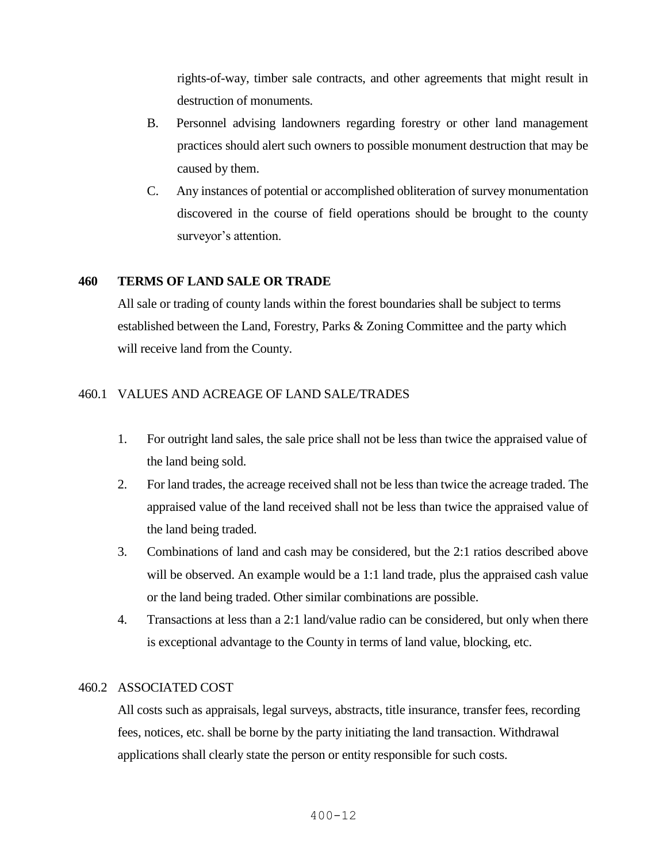rights-of-way, timber sale contracts, and other agreements that might result in destruction of monuments.

- B. Personnel advising landowners regarding forestry or other land management practices should alert such owners to possible monument destruction that may be caused by them.
- C. Any instances of potential or accomplished obliteration of survey monumentation discovered in the course of field operations should be brought to the county surveyor's attention.

## **460 TERMS OF LAND SALE OR TRADE**

All sale or trading of county lands within the forest boundaries shall be subject to terms established between the Land, Forestry, Parks & Zoning Committee and the party which will receive land from the County.

## 460.1 VALUES AND ACREAGE OF LAND SALE/TRADES

- 1. For outright land sales, the sale price shall not be less than twice the appraised value of the land being sold.
- 2. For land trades, the acreage received shall not be less than twice the acreage traded. The appraised value of the land received shall not be less than twice the appraised value of the land being traded.
- 3. Combinations of land and cash may be considered, but the 2:1 ratios described above will be observed. An example would be a 1:1 land trade, plus the appraised cash value or the land being traded. Other similar combinations are possible.
- 4. Transactions at less than a 2:1 land/value radio can be considered, but only when there is exceptional advantage to the County in terms of land value, blocking, etc.

### 460.2 ASSOCIATED COST

All costs such as appraisals, legal surveys, abstracts, title insurance, transfer fees, recording fees, notices, etc. shall be borne by the party initiating the land transaction. Withdrawal applications shall clearly state the person or entity responsible for such costs.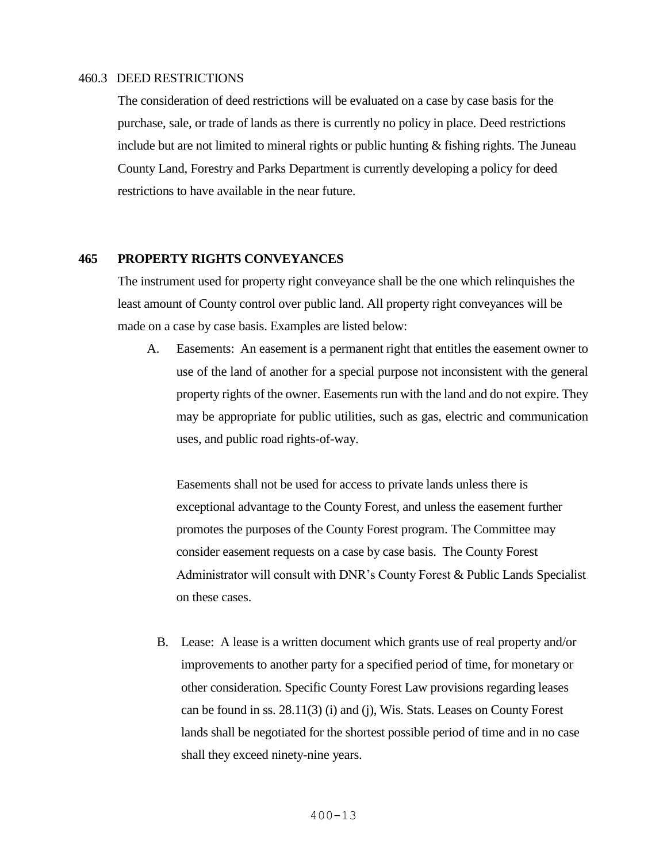#### 460.3 DEED RESTRICTIONS

The consideration of deed restrictions will be evaluated on a case by case basis for the purchase, sale, or trade of lands as there is currently no policy in place. Deed restrictions include but are not limited to mineral rights or public hunting  $\&$  fishing rights. The Juneau County Land, Forestry and Parks Department is currently developing a policy for deed restrictions to have available in the near future.

#### **465 PROPERTY RIGHTS CONVEYANCES**

The instrument used for property right conveyance shall be the one which relinquishes the least amount of County control over public land. All property right conveyances will be made on a case by case basis. Examples are listed below:

A. Easements: An easement is a permanent right that entitles the easement owner to use of the land of another for a special purpose not inconsistent with the general property rights of the owner. Easements run with the land and do not expire. They may be appropriate for public utilities, such as gas, electric and communication uses, and public road rights-of-way.

Easements shall not be used for access to private lands unless there is exceptional advantage to the County Forest, and unless the easement further promotes the purposes of the County Forest program. The Committee may consider easement requests on a case by case basis. The County Forest Administrator will consult with DNR's County Forest & Public Lands Specialist on these cases.

B. Lease: A lease is a written document which grants use of real property and/or improvements to another party for a specified period of time, for monetary or other consideration. Specific County Forest Law provisions regarding leases can be found in ss. 28.11(3) (i) and (j), Wis. Stats. Leases on County Forest lands shall be negotiated for the shortest possible period of time and in no case shall they exceed ninety-nine years.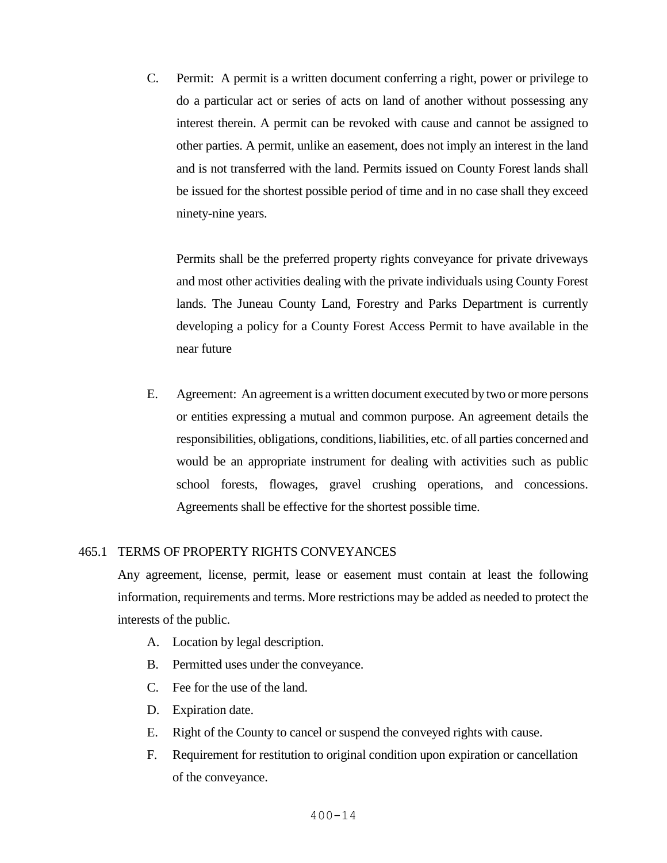C. Permit: A permit is a written document conferring a right, power or privilege to do a particular act or series of acts on land of another without possessing any interest therein. A permit can be revoked with cause and cannot be assigned to other parties. A permit, unlike an easement, does not imply an interest in the land and is not transferred with the land. Permits issued on County Forest lands shall be issued for the shortest possible period of time and in no case shall they exceed ninety-nine years.

Permits shall be the preferred property rights conveyance for private driveways and most other activities dealing with the private individuals using County Forest lands. The Juneau County Land, Forestry and Parks Department is currently developing a policy for a County Forest Access Permit to have available in the near future

E. Agreement: An agreement is a written document executed by two or more persons or entities expressing a mutual and common purpose. An agreement details the responsibilities, obligations, conditions, liabilities, etc. of all parties concerned and would be an appropriate instrument for dealing with activities such as public school forests, flowages, gravel crushing operations, and concessions. Agreements shall be effective for the shortest possible time.

#### 465.1 TERMS OF PROPERTY RIGHTS CONVEYANCES

Any agreement, license, permit, lease or easement must contain at least the following information, requirements and terms. More restrictions may be added as needed to protect the interests of the public.

- A. Location by legal description.
- B. Permitted uses under the conveyance.
- C. Fee for the use of the land.
- D. Expiration date.
- E. Right of the County to cancel or suspend the conveyed rights with cause.
- F. Requirement for restitution to original condition upon expiration or cancellation of the conveyance.